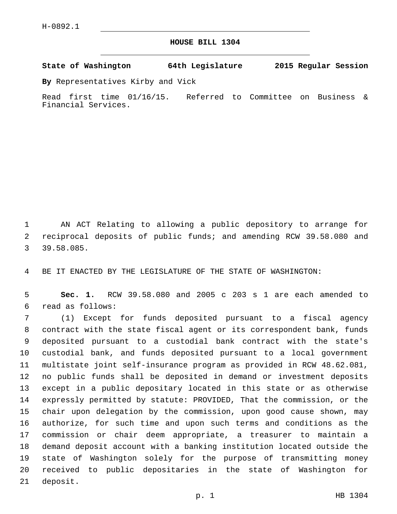## **HOUSE BILL 1304**

**State of Washington 64th Legislature 2015 Regular Session**

**By** Representatives Kirby and Vick

Read first time 01/16/15. Referred to Committee on Business & Financial Services.

 AN ACT Relating to allowing a public depository to arrange for reciprocal deposits of public funds; and amending RCW 39.58.080 and 39.58.085.3

BE IT ENACTED BY THE LEGISLATURE OF THE STATE OF WASHINGTON:

 **Sec. 1.** RCW 39.58.080 and 2005 c 203 s 1 are each amended to read as follows:6

 (1) Except for funds deposited pursuant to a fiscal agency contract with the state fiscal agent or its correspondent bank, funds deposited pursuant to a custodial bank contract with the state's custodial bank, and funds deposited pursuant to a local government multistate joint self-insurance program as provided in RCW 48.62.081, no public funds shall be deposited in demand or investment deposits except in a public depositary located in this state or as otherwise expressly permitted by statute: PROVIDED, That the commission, or the chair upon delegation by the commission, upon good cause shown, may authorize, for such time and upon such terms and conditions as the commission or chair deem appropriate, a treasurer to maintain a demand deposit account with a banking institution located outside the state of Washington solely for the purpose of transmitting money received to public depositaries in the state of Washington for 21 deposit.

p. 1 HB 1304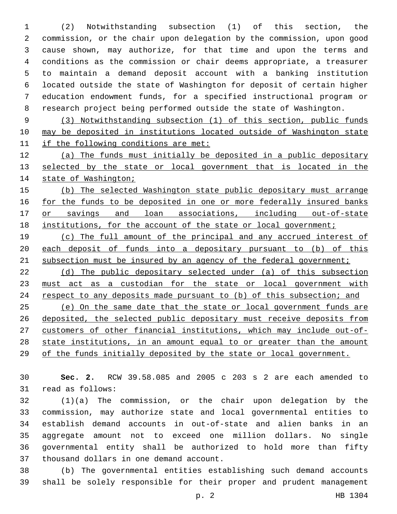(2) Notwithstanding subsection (1) of this section, the commission, or the chair upon delegation by the commission, upon good cause shown, may authorize, for that time and upon the terms and conditions as the commission or chair deems appropriate, a treasurer to maintain a demand deposit account with a banking institution located outside the state of Washington for deposit of certain higher education endowment funds, for a specified instructional program or research project being performed outside the state of Washington.

 (3) Notwithstanding subsection (1) of this section, public funds may be deposited in institutions located outside of Washington state if the following conditions are met:

 (a) The funds must initially be deposited in a public depositary 13 selected by the state or local government that is located in the 14 state of Washington;

 (b) The selected Washington state public depositary must arrange 16 for the funds to be deposited in one or more federally insured banks 17 or savings and loan associations, including out-of-state institutions, for the account of the state or local government;

 (c) The full amount of the principal and any accrued interest of each deposit of funds into a depositary pursuant to (b) of this 21 subsection must be insured by an agency of the federal government;

 (d) The public depositary selected under (a) of this subsection must act as a custodian for the state or local government with 24 respect to any deposits made pursuant to (b) of this subsection; and (e) On the same date that the state or local government funds are deposited, the selected public depositary must receive deposits from customers of other financial institutions, which may include out-of- state institutions, in an amount equal to or greater than the amount of the funds initially deposited by the state or local government.

 **Sec. 2.** RCW 39.58.085 and 2005 c 203 s 2 are each amended to 31 read as follows:

 (1)(a) The commission, or the chair upon delegation by the commission, may authorize state and local governmental entities to establish demand accounts in out-of-state and alien banks in an aggregate amount not to exceed one million dollars. No single governmental entity shall be authorized to hold more than fifty 37 thousand dollars in one demand account.

 (b) The governmental entities establishing such demand accounts shall be solely responsible for their proper and prudent management